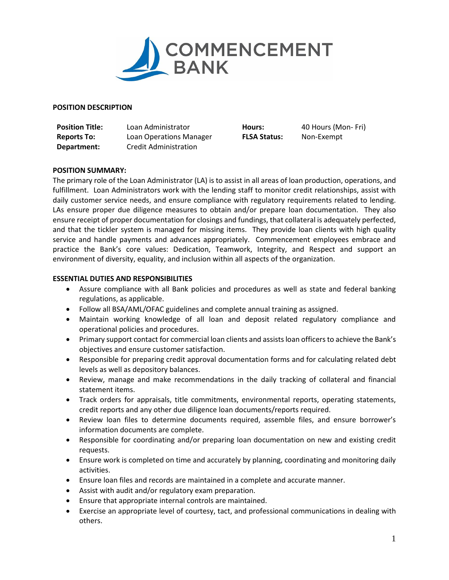

## **POSITION DESCRIPTION**

**Position Title:** Loan Administrator **Hours:** 40 Hours (Mon- Fri) **Reports To:** Loan Operations Manager **FLSA Status:** Non-Exempt **Department:** Credit Administration

# **POSITION SUMMARY:**

The primary role of the Loan Administrator (LA) is to assist in all areas of loan production, operations, and fulfillment. Loan Administrators work with the lending staff to monitor credit relationships, assist with daily customer service needs, and ensure compliance with regulatory requirements related to lending. LAs ensure proper due diligence measures to obtain and/or prepare loan documentation. They also ensure receipt of proper documentation for closings and fundings, that collateral is adequately perfected, and that the tickler system is managed for missing items. They provide loan clients with high quality service and handle payments and advances appropriately. Commencement employees embrace and practice the Bank's core values: Dedication, Teamwork, Integrity, and Respect and support an environment of diversity, equality, and inclusion within all aspects of the organization.

## **ESSENTIAL DUTIES AND RESPONSIBILITIES**

- Assure compliance with all Bank policies and procedures as well as state and federal banking regulations, as applicable.
- Follow all BSA/AML/OFAC guidelines and complete annual training as assigned.
- Maintain working knowledge of all loan and deposit related regulatory compliance and operational policies and procedures.
- Primary support contact for commercial loan clients and assistsloan officers to achieve the Bank's objectives and ensure customer satisfaction.
- Responsible for preparing credit approval documentation forms and for calculating related debt levels as well as depository balances.
- Review, manage and make recommendations in the daily tracking of collateral and financial statement items.
- Track orders for appraisals, title commitments, environmental reports, operating statements, credit reports and any other due diligence loan documents/reports required.
- Review loan files to determine documents required, assemble files, and ensure borrower's information documents are complete.
- Responsible for coordinating and/or preparing loan documentation on new and existing credit requests.
- Ensure work is completed on time and accurately by planning, coordinating and monitoring daily activities.
- Ensure loan files and records are maintained in a complete and accurate manner.
- Assist with audit and/or regulatory exam preparation.
- Ensure that appropriate internal controls are maintained.
- Exercise an appropriate level of courtesy, tact, and professional communications in dealing with others.